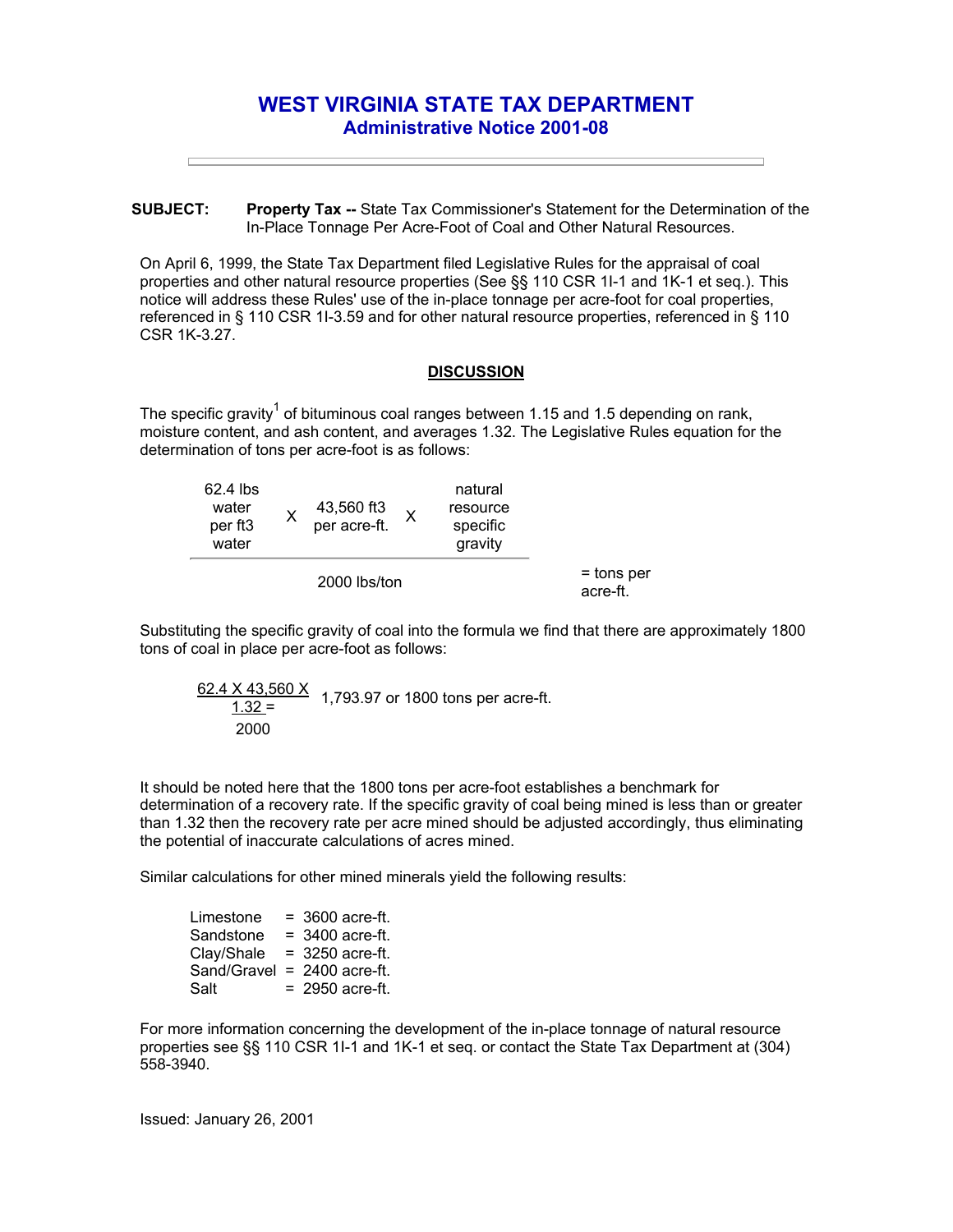## **WEST VIRGINIA STATE TAX DEPARTMENT Administrative Notice 2001-08**

**SUBJECT: Property Tax --** State Tax Commissioner's Statement for the Determination of the In-Place Tonnage Per Acre-Foot of Coal and Other Natural Resources.

On April 6, 1999, the State Tax Department filed Legislative Rules for the appraisal of coal properties and other natural resource properties (See §§ 110 CSR 1I-1 and 1K-1 et seq.). This notice will address these Rules' use of the in-place tonnage per acre-foot for coal properties, referenced in § 110 CSR 1I-3.59 and for other natural resource properties, referenced in § 110 CSR 1K-3.27.

## **DISCUSSION**

The specific gravity<sup>1</sup> of bituminous coal ranges between 1.15 and 1.5 depending on rank, moisture content, and ash content, and averages 1.32. The Legislative Rules equation for the determination of tons per acre-foot is as follows:

| 62.4 lbs<br>water<br>per ft <sub>3</sub><br>water |  | 43,560 ft3<br>per acre-ft. |  | natural<br>resource<br>specific<br>gravity |                          |
|---------------------------------------------------|--|----------------------------|--|--------------------------------------------|--------------------------|
| 2000 lbs/ton                                      |  |                            |  |                                            | $=$ tons per<br>acre-ft. |

Substituting the specific gravity of coal into the formula we find that there are approximately 1800 tons of coal in place per acre-foot as follows:

$$
\frac{62.4 \times 43,560 \times}{1.32} = 1,793.97 \text{ or } 1800 \text{ tons per acre-fit.}
$$
  
2000

It should be noted here that the 1800 tons per acre-foot establishes a benchmark for determination of a recovery rate. If the specific gravity of coal being mined is less than or greater than 1.32 then the recovery rate per acre mined should be adjusted accordingly, thus eliminating the potential of inaccurate calculations of acres mined.

Similar calculations for other mined minerals yield the following results:

| Limestone   | $=$ 3600 acre-ft. |
|-------------|-------------------|
| Sandstone   | $= 3400$ acre-ft. |
| Clay/Shale  | $=$ 3250 acre-ft. |
| Sand/Gravel | $= 2400$ acre-ft. |
| Salt        | $= 2950$ acre-ft. |

For more information concerning the development of the in-place tonnage of natural resource properties see §§ 110 CSR 1I-1 and 1K-1 et seq. or contact the State Tax Department at (304) 558-3940.

Issued: January 26, 2001